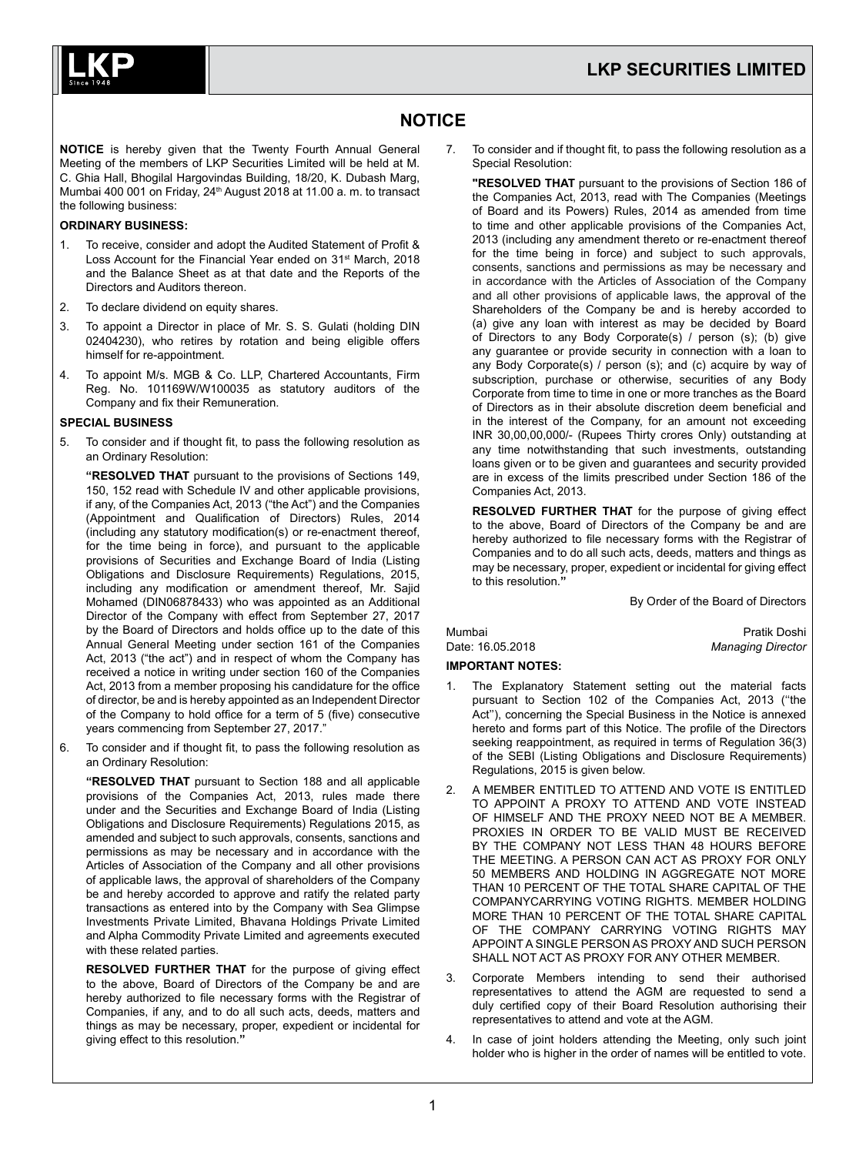

# **NOTICE**

**NOTICE** is hereby given that the Twenty Fourth Annual General Meeting of the members of LKP Securities Limited will be held at M. C. Ghia Hall, Bhogilal Hargovindas Building, 18/20, K. Dubash Marg, Mumbai 400 001 on Friday, 24<sup>th</sup> August 2018 at 11.00 a. m. to transact the following business:

## **ORDINARY BUSINESS:**

- 1. To receive, consider and adopt the Audited Statement of Profit & Loss Account for the Financial Year ended on 31<sup>st</sup> March, 2018 and the Balance Sheet as at that date and the Reports of the Directors and Auditors thereon.
- 2. To declare dividend on equity shares.
- 3. To appoint a Director in place of Mr. S. S. Gulati (holding DIN 02404230), who retires by rotation and being eligible offers himself for re-appointment.
- 4. To appoint M/s. MGB & Co. LLP, Chartered Accountants, Firm Reg. No. 101169W/W100035 as statutory auditors of the Company and fix their Remuneration.

### **SPECIAL BUSINESS**

5. To consider and if thought fit, to pass the following resolution as an Ordinary Resolution:

**"RESOLVED THAT** pursuant to the provisions of Sections 149, 150, 152 read with Schedule IV and other applicable provisions, if any, of the Companies Act, 2013 ("the Act") and the Companies (Appointment and Qualification of Directors) Rules, 2014 (including any statutory modification(s) or re-enactment thereof, for the time being in force), and pursuant to the applicable provisions of Securities and Exchange Board of India (Listing Obligations and Disclosure Requirements) Regulations, 2015, including any modification or amendment thereof, Mr. Sajid Mohamed (DIN06878433) who was appointed as an Additional Director of the Company with effect from September 27, 2017 by the Board of Directors and holds office up to the date of this Annual General Meeting under section 161 of the Companies Act, 2013 ("the act") and in respect of whom the Company has received a notice in writing under section 160 of the Companies Act, 2013 from a member proposing his candidature for the office of director, be and is hereby appointed as an Independent Director of the Company to hold office for a term of 5 (five) consecutive years commencing from September 27, 2017."

6. To consider and if thought fit, to pass the following resolution as an Ordinary Resolution:

**"RESOLVED THAT** pursuant to Section 188 and all applicable provisions of the Companies Act, 2013, rules made there under and the Securities and Exchange Board of India (Listing Obligations and Disclosure Requirements) Regulations 2015, as amended and subject to such approvals, consents, sanctions and permissions as may be necessary and in accordance with the Articles of Association of the Company and all other provisions of applicable laws, the approval of shareholders of the Company be and hereby accorded to approve and ratify the related party transactions as entered into by the Company with Sea Glimpse Investments Private Limited, Bhavana Holdings Private Limited and Alpha Commodity Private Limited and agreements executed with these related parties.

**RESOLVED FURTHER THAT** for the purpose of giving effect to the above, Board of Directors of the Company be and are hereby authorized to file necessary forms with the Registrar of Companies, if any, and to do all such acts, deeds, matters and things as may be necessary, proper, expedient or incidental for giving effect to this resolution.**"**

7. To consider and if thought fit, to pass the following resolution as a Special Resolution:

**"RESOLVED THAT** pursuant to the provisions of Section 186 of the Companies Act, 2013, read with The Companies (Meetings of Board and its Powers) Rules, 2014 as amended from time to time and other applicable provisions of the Companies Act, 2013 (including any amendment thereto or re-enactment thereof for the time being in force) and subject to such approvals, consents, sanctions and permissions as may be necessary and in accordance with the Articles of Association of the Company and all other provisions of applicable laws, the approval of the Shareholders of the Company be and is hereby accorded to (a) give any loan with interest as may be decided by Board of Directors to any Body Corporate(s) / person (s); (b) give any guarantee or provide security in connection with a loan to any Body Corporate(s) / person (s); and (c) acquire by way of subscription, purchase or otherwise, securities of any Body Corporate from time to time in one or more tranches as the Board of Directors as in their absolute discretion deem beneficial and in the interest of the Company, for an amount not exceeding INR 30,00,00,000/- (Rupees Thirty crores Only) outstanding at any time notwithstanding that such investments, outstanding loans given or to be given and guarantees and security provided are in excess of the limits prescribed under Section 186 of the Companies Act, 2013.

**RESOLVED FURTHER THAT** for the purpose of giving effect to the above, Board of Directors of the Company be and are hereby authorized to file necessary forms with the Registrar of Companies and to do all such acts, deeds, matters and things as may be necessary, proper, expedient or incidental for giving effect to this resolution.**"**

By Order of the Board of Directors

## Date: 16.05.2018 *Managing Director* **IMPORTANT NOTES:**

1. The Explanatory Statement setting out the material facts pursuant to Section 102 of the Companies Act, 2013 (''the Act''), concerning the Special Business in the Notice is annexed hereto and forms part of this Notice. The profile of the Directors seeking reappointment, as required in terms of Regulation 36(3) of the SEBI (Listing Obligations and Disclosure Requirements) Regulations, 2015 is given below.

Mumbai **Pratik Doshi** 

- 2. A MEMBER ENTITLED TO ATTEND AND VOTE IS ENTITLED TO APPOINT A PROXY TO ATTEND AND VOTE INSTEAD OF HIMSELF AND THE PROXY NEED NOT BE A MEMBER. PROXIES IN ORDER TO BE VALID MUST BE RECEIVED BY THE COMPANY NOT LESS THAN 48 HOURS BEFORE THE MEETING. A PERSON CAN ACT AS PROXY FOR ONLY 50 MEMBERS AND HOLDING IN AGGREGATE NOT MORE THAN 10 PERCENT OF THE TOTAL SHARE CAPITAL OF THE COMPANYCARRYING VOTING RIGHTS. MEMBER HOLDING MORE THAN 10 PERCENT OF THE TOTAL SHARE CAPITAL OF THE COMPANY CARRYING VOTING RIGHTS MAY APPOINT A SINGLE PERSON AS PROXY AND SUCH PERSON SHALL NOT ACT AS PROXY FOR ANY OTHER MEMBER.
- 3. Corporate Members intending to send their authorised representatives to attend the AGM are requested to send a duly certified copy of their Board Resolution authorising their representatives to attend and vote at the AGM.
- In case of joint holders attending the Meeting, only such joint holder who is higher in the order of names will be entitled to vote.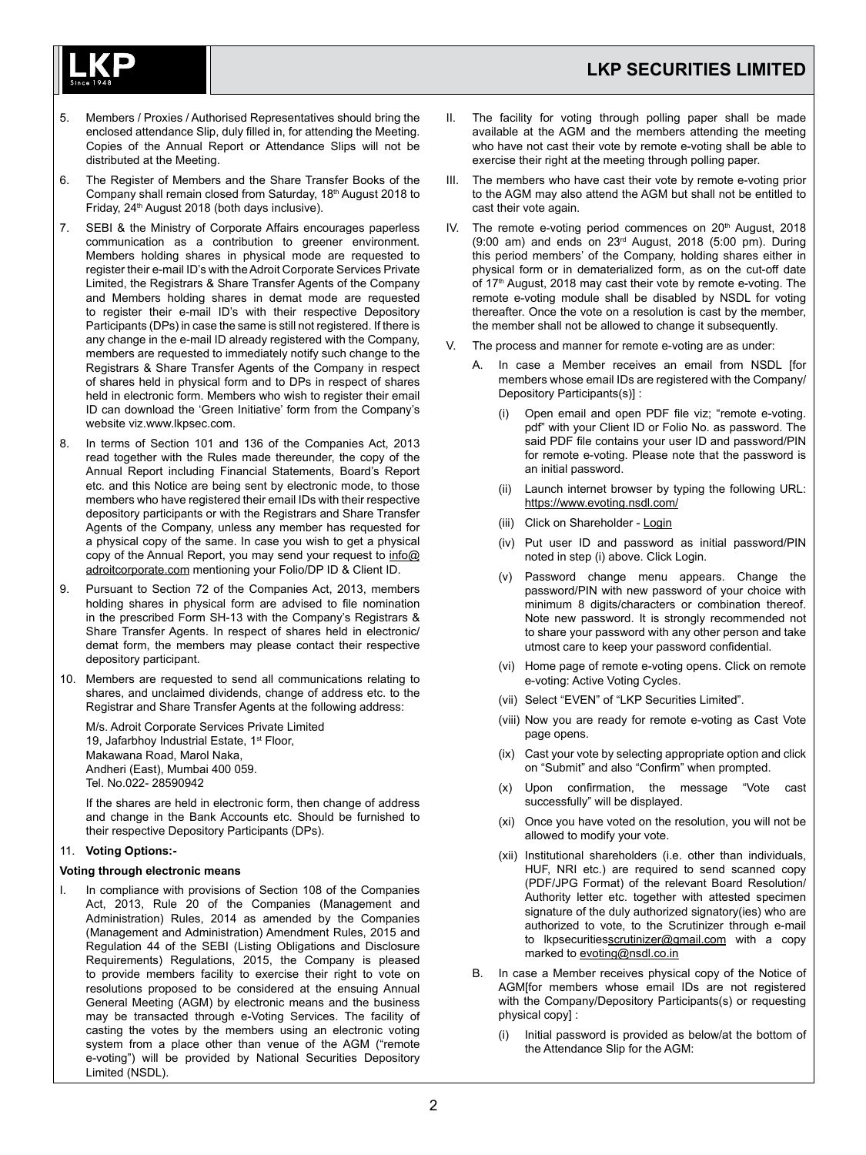

- 5. Members / Proxies / Authorised Representatives should bring the enclosed attendance Slip, duly filled in, for attending the Meeting. Copies of the Annual Report or Attendance Slips will not be distributed at the Meeting.
- 6. The Register of Members and the Share Transfer Books of the Company shall remain closed from Saturday, 18th August 2018 to Friday, 24<sup>th</sup> August 2018 (both days inclusive).
- 7. SEBI & the Ministry of Corporate Affairs encourages paperless communication as a contribution to greener environment. Members holding shares in physical mode are requested to register their e-mail ID's with the Adroit Corporate Services Private Limited, the Registrars & Share Transfer Agents of the Company and Members holding shares in demat mode are requested to register their e-mail ID's with their respective Depository Participants (DPs) in case the same is still not registered. If there is any change in the e-mail ID already registered with the Company, members are requested to immediately notify such change to the Registrars & Share Transfer Agents of the Company in respect of shares held in physical form and to DPs in respect of shares held in electronic form. Members who wish to register their email ID can download the 'Green Initiative' form from the Company's website viz.www.lkpsec.com.
- 8. In terms of Section 101 and 136 of the Companies Act, 2013 read together with the Rules made thereunder, the copy of the Annual Report including Financial Statements, Board's Report etc. and this Notice are being sent by electronic mode, to those members who have registered their email IDs with their respective depository participants or with the Registrars and Share Transfer Agents of the Company, unless any member has requested for a physical copy of the same. In case you wish to get a physical copy of the Annual Report, you may send your request to info@ adroitcorporate.com mentioning your Folio/DP ID & Client ID.
- 9. Pursuant to Section 72 of the Companies Act, 2013, members holding shares in physical form are advised to file nomination in the prescribed Form SH-13 with the Company's Registrars & Share Transfer Agents. In respect of shares held in electronic/ demat form, the members may please contact their respective depository participant.
- 10. Members are requested to send all communications relating to shares, and unclaimed dividends, change of address etc. to the Registrar and Share Transfer Agents at the following address:

M/s. Adroit Corporate Services Private Limited 19, Jafarbhoy Industrial Estate, 1<sup>st</sup> Floor, Makawana Road, Marol Naka, Andheri (East), Mumbai 400 059. Tel. No.022- 28590942

If the shares are held in electronic form, then change of address and change in the Bank Accounts etc. Should be furnished to their respective Depository Participants (DPs).

## 11. **Voting Options:-**

### **Voting through electronic means**

I. In compliance with provisions of Section 108 of the Companies Act, 2013, Rule 20 of the Companies (Management and Administration) Rules, 2014 as amended by the Companies (Management and Administration) Amendment Rules, 2015 and Regulation 44 of the SEBI (Listing Obligations and Disclosure Requirements) Regulations, 2015, the Company is pleased to provide members facility to exercise their right to vote on resolutions proposed to be considered at the ensuing Annual General Meeting (AGM) by electronic means and the business may be transacted through e-Voting Services. The facility of casting the votes by the members using an electronic voting system from a place other than venue of the AGM ("remote e-voting") will be provided by National Securities Depository Limited (NSDL).

- II. The facility for voting through polling paper shall be made available at the AGM and the members attending the meeting who have not cast their vote by remote e-voting shall be able to exercise their right at the meeting through polling paper.
- III. The members who have cast their vote by remote e-voting prior to the AGM may also attend the AGM but shall not be entitled to cast their vote again.
- IV. The remote e-voting period commences on 20<sup>th</sup> August, 2018 (9:00 am) and ends on 23rd August, 2018 (5:00 pm). During this period members' of the Company, holding shares either in physical form or in dematerialized form, as on the cut-off date of 17<sup>th</sup> August, 2018 may cast their vote by remote e-voting. The remote e-voting module shall be disabled by NSDL for voting thereafter. Once the vote on a resolution is cast by the member, the member shall not be allowed to change it subsequently.
- The process and manner for remote e-voting are as under:
	- In case a Member receives an email from NSDL [for members whose email IDs are registered with the Company/ Depository Participants(s)] :
		- (i) Open email and open PDF file viz; "remote e-voting. pdf" with your Client ID or Folio No. as password. The said PDF file contains your user ID and password/PIN for remote e-voting. Please note that the password is an initial password.
		- (ii) Launch internet browser by typing the following URL: https://www.evoting.nsdl.com/
		- (iii) Click on Shareholder Login
		- (iv) Put user ID and password as initial password/PIN noted in step (i) above. Click Login.
		- Password change menu appears. Change the password/PIN with new password of your choice with minimum 8 digits/characters or combination thereof. Note new password. It is strongly recommended not to share your password with any other person and take utmost care to keep your password confidential.
		- (vi) Home page of remote e-voting opens. Click on remote e-voting: Active Voting Cycles.
		- (vii) Select "EVEN" of "LKP Securities Limited".
		- (viii) Now you are ready for remote e-voting as Cast Vote page opens.
		- (ix) Cast your vote by selecting appropriate option and click on "Submit" and also "Confirm" when prompted.
		- (x) Upon confirmation, the message "Vote cast successfully" will be displayed.
		- (xi) Once you have voted on the resolution, you will not be allowed to modify your vote.
		- (xii) Institutional shareholders (i.e. other than individuals, HUF, NRI etc.) are required to send scanned copy (PDF/JPG Format) of the relevant Board Resolution/ Authority letter etc. together with attested specimen signature of the duly authorized signatory(ies) who are authorized to vote, to the Scrutinizer through e-mail to lkpsecuritiesscrutinizer@gmail.com with a copy marked to evoting@nsdl.co.in
	- B. In case a Member receives physical copy of the Notice of AGM[for members whose email IDs are not registered with the Company/Depository Participants(s) or requesting physical copy] :
		- Initial password is provided as below/at the bottom of the Attendance Slip for the AGM: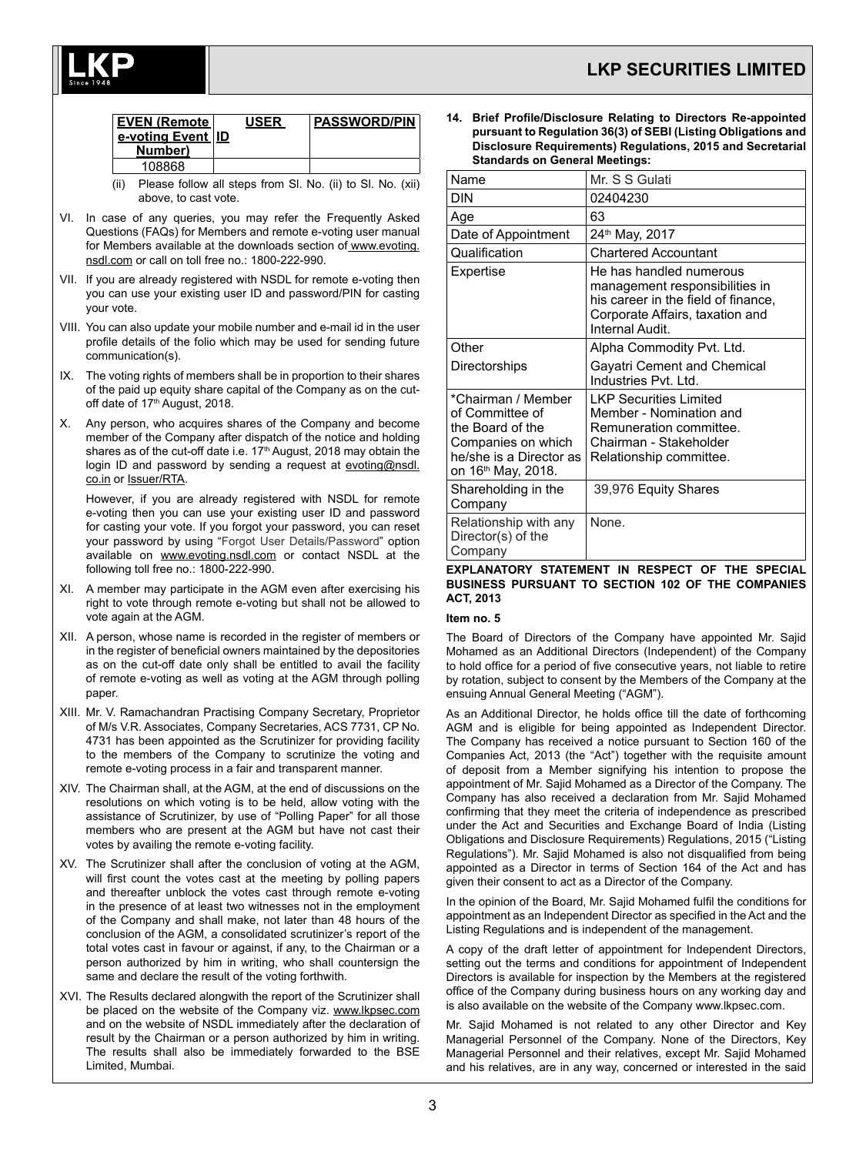## **LKP SECURITIES LIMITED**



|                   | <b>PASSWORD/PIN</b> |
|-------------------|---------------------|
|                   |                     |
|                   |                     |
|                   |                     |
|                   |                     |
| e-voting Event ID | <b>USER</b>         |

- (ii) Please follow all steps from Sl. No. (ii) to Sl. No. (xii) above, to cast vote.
- VI. In case of any queries, you may refer the Frequently Asked Questions (FAQs) for Members and remote e-voting user manual for Members available at the downloads section of www.evoting. nsdl.com or call on toll free no.: 1800-222-990.
- VII. If you are already registered with NSDL for remote e-voting then you can use your existing user ID and password/PIN for casting your vote.
- VIII. You can also update your mobile number and e-mail id in the user profile details of the folio which may be used for sending future communication(s).
- IX. The voting rights of members shall be in proportion to their shares of the paid up equity share capital of the Company as on the cutoff date of 17<sup>th</sup> August, 2018.
- X. Any person, who acquires shares of the Company and become member of the Company after dispatch of the notice and holding shares as of the cut-off date i.e. 17<sup>th</sup> August, 2018 may obtain the login ID and password by sending a request at evoting@nsdl. co.in or Issuer/RTA.

However, if you are already registered with NSDL for remote e-voting then you can use your existing user ID and password for casting your vote. If you forgot your password, you can reset your password by using "Forgot User Details/Password" option available on www.evoting.nsdl.com or contact NSDL at the following toll free no.: 1800-222-990.

- XI. A member may participate in the AGM even after exercising his right to vote through remote e-voting but shall not be allowed to vote again at the AGM.
- XII. A person, whose name is recorded in the register of members or in the register of beneficial owners maintained by the depositories as on the cut-off date only shall be entitled to avail the facility of remote e-voting as well as voting at the AGM through polling paper.
- XIII. Mr. V. Ramachandran Practising Company Secretary, Proprietor of M/s V.R. Associates, Company Secretaries, ACS 7731, CP No. 4731 has been appointed as the Scrutinizer for providing facility to the members of the Company to scrutinize the voting and remote e-voting process in a fair and transparent manner.
- XIV. The Chairman shall, at the AGM, at the end of discussions on the resolutions on which voting is to be held, allow voting with the assistance of Scrutinizer, by use of "Polling Paper" for all those members who are present at the AGM but have not cast their votes by availing the remote e-voting facility.
- XV. The Scrutinizer shall after the conclusion of voting at the AGM, will first count the votes cast at the meeting by polling papers and thereafter unblock the votes cast through remote e-voting in the presence of at least two witnesses not in the employment of the Company and shall make, not later than 48 hours of the conclusion of the AGM, a consolidated scrutinizer's report of the total votes cast in favour or against, if any, to the Chairman or a person authorized by him in writing, who shall countersign the same and declare the result of the voting forthwith.
- XVI. The Results declared alongwith the report of the Scrutinizer shall be placed on the website of the Company viz. www.lkpsec.com and on the website of NSDL immediately after the declaration of result by the Chairman or a person authorized by him in writing. The results shall also be immediately forwarded to the BSE Limited, Mumbai.

**14. Brief Profile/Disclosure Relating to Directors Re-appointed pursuant to Regulation 36(3) of SEBI (Listing Obligations and Disclosure Requirements) Regulations, 2015 and Secretarial Standards on General Meetings:**

| Name                                                                                                                                         | Mr. S S Gulati                                                                                                                                         |
|----------------------------------------------------------------------------------------------------------------------------------------------|--------------------------------------------------------------------------------------------------------------------------------------------------------|
| <b>DIN</b>                                                                                                                                   | 02404230                                                                                                                                               |
| Age                                                                                                                                          | 63                                                                                                                                                     |
| Date of Appointment                                                                                                                          | 24th May, 2017                                                                                                                                         |
| Qualification                                                                                                                                | <b>Chartered Accountant</b>                                                                                                                            |
| Expertise                                                                                                                                    | He has handled numerous<br>management responsibilities in<br>his career in the field of finance,<br>Corporate Affairs, taxation and<br>Internal Audit. |
| Other                                                                                                                                        | Alpha Commodity Pvt. Ltd.                                                                                                                              |
| Directorships                                                                                                                                | Gayatri Cement and Chemical<br>Industries Pvt. Ltd.                                                                                                    |
| *Chairman / Member<br>of Committee of<br>the Board of the<br>Companies on which<br>he/she is a Director as<br>on 16 <sup>th</sup> May, 2018. | <b>LKP Securities Limited</b><br>Member - Nomination and<br>Remuneration committee.<br>Chairman - Stakeholder<br>Relationship committee.               |
| Shareholding in the<br>Company                                                                                                               | 39,976 Equity Shares                                                                                                                                   |
| Relationship with any<br>Director(s) of the<br>Company                                                                                       | None.                                                                                                                                                  |

#### **EXPLANATORY STATEMENT IN RESPECT OF THE SPECIAL BUSINESS PURSUANT TO SECTION 102 OF THE COMPANIES ACT, 2013**

### **Item no. 5**

The Board of Directors of the Company have appointed Mr. Sajid Mohamed as an Additional Directors (Independent) of the Company to hold office for a period of five consecutive years, not liable to retire by rotation, subject to consent by the Members of the Company at the ensuing Annual General Meeting ("AGM").

As an Additional Director, he holds office till the date of forthcoming AGM and is eligible for being appointed as Independent Director. The Company has received a notice pursuant to Section 160 of the Companies Act, 2013 (the "Act") together with the requisite amount of deposit from a Member signifying his intention to propose the appointment of Mr. Sajid Mohamed as a Director of the Company. The Company has also received a declaration from Mr. Sajid Mohamed confirming that they meet the criteria of independence as prescribed under the Act and Securities and Exchange Board of India (Listing Obligations and Disclosure Requirements) Regulations, 2015 ("Listing Regulations"). Mr. Sajid Mohamed is also not disqualified from being appointed as a Director in terms of Section 164 of the Act and has given their consent to act as a Director of the Company.

In the opinion of the Board, Mr. Sajid Mohamed fulfil the conditions for appointment as an Independent Director as specified in the Act and the Listing Regulations and is independent of the management.

A copy of the draft letter of appointment for Independent Directors, setting out the terms and conditions for appointment of Independent Directors is available for inspection by the Members at the registered office of the Company during business hours on any working day and is also available on the website of the Company www.lkpsec.com.

Mr. Sajid Mohamed is not related to any other Director and Key Managerial Personnel of the Company. None of the Directors, Key Managerial Personnel and their relatives, except Mr. Sajid Mohamed and his relatives, are in any way, concerned or interested in the said